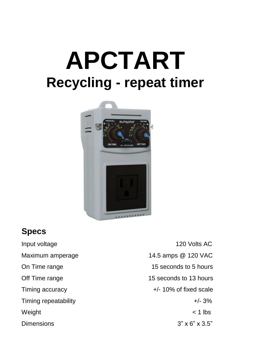# **APCTART Recycling - repeat timer**



## **Specs**

Input voltage 120 Volts AC Maximum amperage 14.5 amps @ 120 VAC On Time range 15 seconds to 5 hours Off Time range 15 seconds to 13 hours Timing accuracy extended the top of fixed scale  $+/-10\%$  of fixed scale Timing repeatability  $+/- 3\%$ Weight < 1 lbs Dimensions  $3'' \times 6'' \times 3.5''$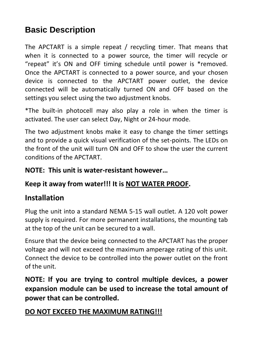## **Basic Description**

The APCTART is a simple repeat / recycling timer. That means that when it is connected to a power source, the timer will recycle or "repeat" it's ON and OFF timing schedule until power is \*removed. Once the APCTART is connected to a power source, and your chosen device is connected to the APCTART power outlet, the device connected will be automatically turned ON and OFF based on the settings you select using the two adjustment knobs.

\*The built-in photocell may also play a role in when the timer is activated. The user can select Day, Night or 24-hour mode.

The two adjustment knobs make it easy to change the timer settings and to provide a quick visual verification of the set-points. The LEDs on the front of the unit will turn ON and OFF to show the user the current conditions of the APCTART.

#### **NOTE: This unit is water-resistant however…**

#### **Keep it away from water!!! It is NOT WATER PROOF.**

#### **Installation**

Plug the unit into a standard NEMA 5-15 wall outlet. A 120 volt power supply is required. For more permanent installations, the mounting tab at the top of the unit can be secured to a wall.

Ensure that the device being connected to the APCTART has the proper voltage and will not exceed the maximum amperage rating of this unit. Connect the device to be controlled into the power outlet on the front of the unit.

**NOTE: If you are trying to control multiple devices, a power expansion module can be used to increase the total amount of power that can be controlled.**

#### **DO NOT EXCEED THE MAXIMUM RATING!!!**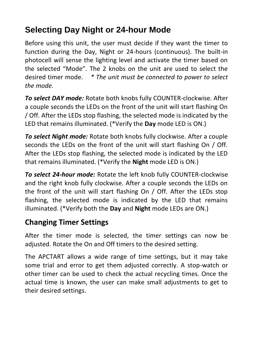# **Selecting Day Night or 24-hour Mode**

Before using this unit, the user must decide if they want the timer to function during the Day, Night or 24-hours (continuous). The built-in photocell will sense the lighting level and activate the timer based on the selected "Mode". The 2 knobs on the unit are used to select the desired timer mode. *\* The unit must be connected to power to select the mode.*

*To select DAY mode:* Rotate both knobs fully COUNTER-clockwise. After a couple seconds the LEDs on the front of the unit will start flashing On / Off. After the LEDs stop flashing, the selected mode is indicated by the LED that remains illuminated. (\*Verify the **Day** mode LED is ON.)

*To select Night mode:* Rotate both knobs fully clockwise. After a couple seconds the LEDs on the front of the unit will start flashing On / Off. After the LEDs stop flashing, the selected mode is indicated by the LED that remains illuminated. (\*Verify the **Night** mode LED is ON.)

*To select 24-hour mode:* Rotate the left knob fully COUNTER-clockwise and the right knob fully clockwise. After a couple seconds the LEDs on the front of the unit will start flashing On / Off. After the LEDs stop flashing, the selected mode is indicated by the LED that remains illuminated. (\*Verify both the **Day** and **Night** mode LEDs are ON.)

### **Changing Timer Settings**

After the timer mode is selected, the timer settings can now be adjusted. Rotate the On and Off timers to the desired setting.

The APCTART allows a wide range of time settings, but it may take some trial and error to get them adjusted correctly. A stop-watch or other timer can be used to check the actual recycling times. Once the actual time is known, the user can make small adjustments to get to their desired settings.